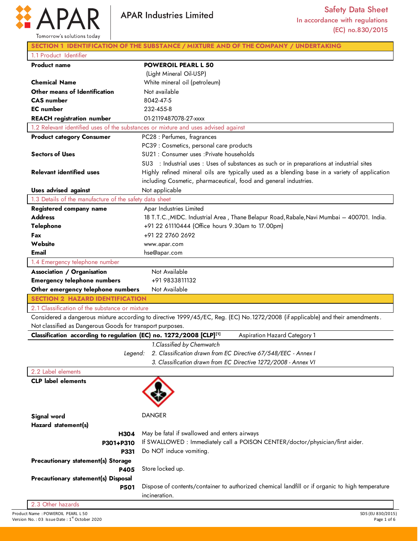

|                                                           | <b>APAR Industries Limited</b>                                                                                                 | <b>Safety Data Sheet</b><br>In accordance with regulations<br>(EC) no.830/2015                |
|-----------------------------------------------------------|--------------------------------------------------------------------------------------------------------------------------------|-----------------------------------------------------------------------------------------------|
| Tomorrow's solutions today                                |                                                                                                                                |                                                                                               |
|                                                           | SECTION 1 IDENTIFICATION OF THE SUBSTANCE / MIXTURE AND OF THE COMPANY / UNDERTAKING                                           |                                                                                               |
| 1.1 Product Identifier                                    |                                                                                                                                |                                                                                               |
| <b>Product name</b>                                       | <b>POWEROIL PEARL L 50</b>                                                                                                     |                                                                                               |
|                                                           | (Light Mineral Oil-USP)                                                                                                        |                                                                                               |
| <b>Chemical Name</b>                                      | White mineral oil (petroleum)                                                                                                  |                                                                                               |
| Other means of Identification                             | Not available                                                                                                                  |                                                                                               |
| <b>CAS</b> number                                         | 8042-47-5                                                                                                                      |                                                                                               |
| <b>EC</b> number                                          | 232-455-8                                                                                                                      |                                                                                               |
| <b>REACH</b> registration number                          | 01-2119487078-27-xxxx                                                                                                          |                                                                                               |
|                                                           | 1.2 Relevant identified uses of the substances or mixture and uses advised against                                             |                                                                                               |
| <b>Product category Consumer</b>                          | PC28 : Perfumes, fragrances                                                                                                    |                                                                                               |
|                                                           | PC39 : Cosmetics, personal care products                                                                                       |                                                                                               |
| <b>Sectors of Uses</b>                                    | SU21 : Consumer uses : Private households                                                                                      |                                                                                               |
|                                                           | SU3 : Industrial uses : Uses of substances as such or in preparations at industrial sites                                      |                                                                                               |
| <b>Relevant identified uses</b>                           | including Cosmetic, pharmaceutical, food and general industries.                                                               | Highly refined mineral oils are typically used as a blending base in a variety of application |
| <b>Uses advised against</b>                               |                                                                                                                                |                                                                                               |
| 1.3 Details of the manufacture of the safety data sheet   | Not applicable                                                                                                                 |                                                                                               |
|                                                           | Apar Industries Limited                                                                                                        |                                                                                               |
| Registered company name<br><b>Address</b>                 |                                                                                                                                | 18 T.T.C., MIDC. Industrial Area, Thane Belapur Road, Rabale, Navi Mumbai – 400701. India.    |
| <b>Telephone</b>                                          | +91 22 61110444 (Office hours 9.30am to 17.00pm)                                                                               |                                                                                               |
| Fax                                                       | +91 22 2760 2692                                                                                                               |                                                                                               |
| Website                                                   | www.apar.com                                                                                                                   |                                                                                               |
| <b>Email</b>                                              | hse@apar.com                                                                                                                   |                                                                                               |
| 1.4 Emergency telephone number                            |                                                                                                                                |                                                                                               |
| <b>Association / Organisation</b>                         | Not Available                                                                                                                  |                                                                                               |
| <b>Emergency telephone numbers</b>                        | +91 9833811132                                                                                                                 |                                                                                               |
| Other emergency telephone numbers                         | Not Available                                                                                                                  |                                                                                               |
| <b>SECTION 2 HAZARD IDENTIFICATION</b>                    |                                                                                                                                |                                                                                               |
| 2.1 Classification of the substance or mixture            |                                                                                                                                |                                                                                               |
|                                                           | Considered a dangerous mixture according to directive 1999/45/EC, Reg. (EC) No.1272/2008 (if applicable) and their amendments. |                                                                                               |
| Not classified as Dangerous Goods for transport purposes. |                                                                                                                                |                                                                                               |
|                                                           | Classification according to regulation (EC) no. 1272/2008 [CLP][1]                                                             | <b>Aspiration Hazard Category 1</b>                                                           |
|                                                           | 1. Classified by Chemwatch                                                                                                     |                                                                                               |
|                                                           | 2. Classification drawn from EC Directive 67/548/EEC - Annex I<br>Legend:                                                      |                                                                                               |
|                                                           | 3. Classification drawn from EC Directive 1272/2008 - Annex VI                                                                 |                                                                                               |
| 2.2 Label elements                                        |                                                                                                                                |                                                                                               |
| <b>CLP</b> label elements                                 |                                                                                                                                |                                                                                               |
|                                                           |                                                                                                                                |                                                                                               |
|                                                           |                                                                                                                                |                                                                                               |
|                                                           |                                                                                                                                |                                                                                               |
| Signal word                                               | <b>DANGER</b>                                                                                                                  |                                                                                               |
| Hazard statement(s)                                       |                                                                                                                                |                                                                                               |
|                                                           | May be fatal if swallowed and enters airways<br>H304                                                                           |                                                                                               |

**P331 Precautionary statement(s) Storage P405 Precautionary statement(s) Disposal P501**

**P301+P310**

Do NOT induce vomiting.

Store locked up.

Dispose of contents/container to authorized chemical landfill or if organic to high temperature incineration.

If SWALLOWED : Immediately call a POISON CENTER/doctor/physician/first aider.

2.3 Other hazards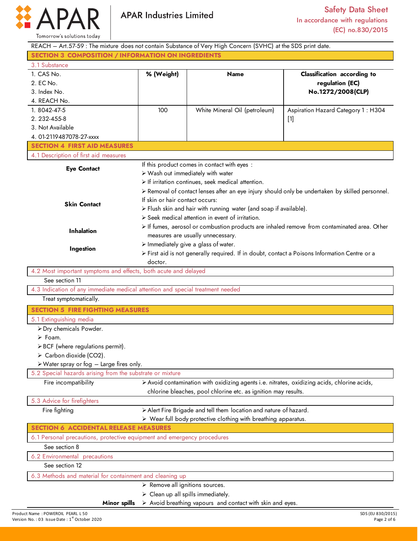

Product Name : POWEROIL PEARL L 50<br>
Peape 2 of 6 SDS (EU 830/2015) SDS (EU 830/2015)<br>
Page 2 of 6 Space 2 of 6 Space 2 of 6 Space 2 of 6 Space 2 of 6 Space 2 of 6 Space 2 of 6 Space 2 of 6 Space 2 of 6 Space 2 of 6 Space 2 Version No. : 03 Issue Date :  $1^{\text{st}}$  October 2020  $\frac{\text{st}}{\text{c}}$  October 2020 Page 2 of 6 REACH – Art.57-59 : The mixture does not contain Substance of Very High Concern (SVHC) at the SDS print date. **SECTION 3 COMPOSITION / INFORMATION ON INGREDIENTS** 3.1 Substance 1. CAS No. 2. EC No. 3. Index No. 4. REACH No. **% (Weight) Name Classification according to regulation (EC) No.1272/2008(CLP)**  1. 8042-47-5 2. 232-455-8 3. Not Available 4. 01-2119487078-27-xxxx 100 White Mineral Oil (petroleum) Aspiration Hazard Category 1 : H304 [1] **SECTION 4 FIRST AID MEASURES** 4.1 Description of first aid measures **Eye Contact Skin Contact Inhalation Ingestion** If this product comes in contact with eyes : Wash out immediately with water  $\triangleright$  If irritation continues, seek medical attention. Removal of contact lenses after an eye injury should only be undertaken by skilled personnel. If skin or hair contact occurs:  $\triangleright$  Flush skin and hair with running water (and soap if available).  $\triangleright$  Seek medical attention in event of irritation. If fumes, aerosol or combustion products are inhaled remove from contaminated area. Other measures are usually unnecessary.  $\triangleright$  Immediately give a glass of water. First aid is not generally required. If in doubt, contact a Poisons Information Centre or a doctor. 4.2 Most important symptoms and effects, both acute and delayed See section 11 4.3 Indication of any immediate medical attention and special treatment needed Treat symptomatically. **SECTION 5 FIRE FIGHTING MEASURES** 5.1 Extinguishing media Dry chemicals Powder. Foam.  $\triangleright$  BCF (where regulations permit).  $\triangleright$  Carbon dioxide (CO2). Water spray or fog – Large fires only. 5.2 Special hazards arising from the substrate or mixture Fire incompatibility **Avoid contamination with oxidizing agents i.e. nitrates, oxidizing acids, chlorine acids,** chlorine bleaches, pool chlorine etc. as ignition may results. 5.3 Advice for firefighters Fire fighting  $\rightarrow$  Alert Fire Brigade and tell them location and nature of hazard. Wear full body protective clothing with breathing apparatus. **SECTION 6 ACCIDENTAL RELEASE MEASURES** 6.1 Personal precautions, protective equipment and emergency procedures See section 8 6.2 Environmental precautions See section 12 6.3 Methods and material for containment and cleaning up **Minor spills**  $\triangleright$  Remove all ignitions sources.  $\triangleright$  Clean up all spills immediately.  $\triangleright$  Avoid breathing vapours and contact with skin and eyes.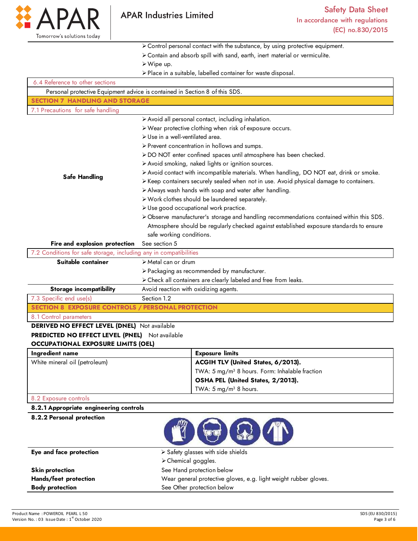

Control personal contact with the substance, by using protective equipment.

- Contain and absorb spill with sand, earth, inert material or vermiculite.
- Wipe up.
- Place in a suitable, labelled container for waste disposal.

| 6.4 Reference to other sections                                   |                                                                                          |  |  |
|-------------------------------------------------------------------|------------------------------------------------------------------------------------------|--|--|
|                                                                   | Personal protective Equipment advice is contained in Section 8 of this SDS.              |  |  |
| <b>SECTION 7 HANDLING AND STORAGE</b>                             |                                                                                          |  |  |
| 7.1 Precautions for safe handling                                 |                                                                                          |  |  |
|                                                                   | > Avoid all personal contact, including inhalation.                                      |  |  |
|                                                                   | > Wear protective clothing when risk of exposure occurs.                                 |  |  |
|                                                                   | > Use in a well-ventilated area.                                                         |  |  |
|                                                                   | > Prevent concentration in hollows and sumps.                                            |  |  |
|                                                                   | > DO NOT enter confined spaces until atmosphere has been checked.                        |  |  |
|                                                                   | > Avoid smoking, naked lights or ignition sources.                                       |  |  |
|                                                                   | > Avoid contact with incompatible materials. When handling, DO NOT eat, drink or smoke.  |  |  |
| <b>Safe Handling</b>                                              | > Keep containers securely sealed when not in use. Avoid physical damage to containers.  |  |  |
|                                                                   | > Always wash hands with soap and water after handling.                                  |  |  |
|                                                                   | > Work clothes should be laundered separately.                                           |  |  |
|                                                                   | > Use good occupational work practice.                                                   |  |  |
|                                                                   | > Observe manufacturer's storage and handling recommendations contained within this SDS. |  |  |
|                                                                   | Atmosphere should be regularly checked against established exposure standards to ensure  |  |  |
|                                                                   | safe working conditions.                                                                 |  |  |
| Fire and explosion protection                                     | See section 5                                                                            |  |  |
| 7.2 Conditions for safe storage, including any in compatibilities |                                                                                          |  |  |
| Suitable container                                                | > Metal can or drum                                                                      |  |  |
|                                                                   | > Packaging as recommended by manufacturer.                                              |  |  |
|                                                                   | > Check all containers are clearly labeled and free from leaks.                          |  |  |
| <b>Storage incompatibility</b>                                    | Avoid reaction with oxidizing agents.                                                    |  |  |
| 7.3 Specific end use(s)                                           | Section 1.2                                                                              |  |  |
|                                                                   | <b>SECTION 8 EXPOSURE CONTROLS / PERSONAL PROTECTION</b>                                 |  |  |
| 8.1 Control parameters                                            |                                                                                          |  |  |
| <b>DERIVED NO EFFECT LEVEL (DNEL)</b> Not available               |                                                                                          |  |  |
| <b>PREDICTED NO EFFECT LEVEL (PNEL)</b> Not available             |                                                                                          |  |  |
| <b>OCCUPATIONAL EXPOSURE LIMITS (OEL)</b>                         |                                                                                          |  |  |
| Ingredient name                                                   | <b>Exposure limits</b>                                                                   |  |  |
| White mineral oil (petroleum)                                     | ACGIH TLV (United States, 6/2013).                                                       |  |  |
|                                                                   | TWA: 5 mg/m <sup>3</sup> 8 hours. Form: Inhalable fraction                               |  |  |
|                                                                   | OSHA PEL (United States, 2/2013).                                                        |  |  |
|                                                                   | TWA: $5 \text{ mg/m}^3$ 8 hours.                                                         |  |  |
| 8.2 Exposure controls                                             |                                                                                          |  |  |
| 8.2.1 Appropriate engineering controls                            |                                                                                          |  |  |
| 8.2.2 Personal protection                                         |                                                                                          |  |  |

| Eye and face protection | $\triangleright$ Safety glasses with side shields                |  |
|-------------------------|------------------------------------------------------------------|--|
|                         | $\triangleright$ Chemical goggles.                               |  |
| <b>Skin protection</b>  | See Hand protection below                                        |  |
| Hands/feet protection   | Wear general protective gloves, e.g. light weight rubber gloves. |  |
| <b>Body protection</b>  | See Other protection below                                       |  |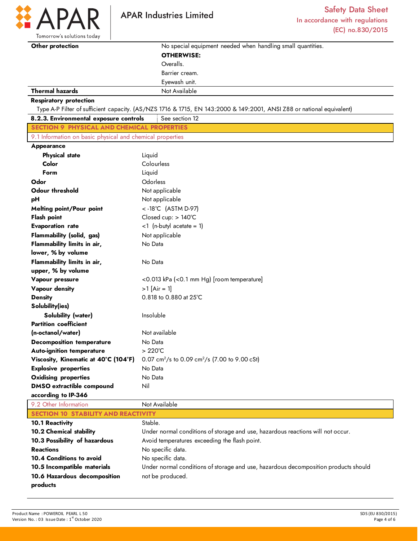

D

Tomorrow's solutions today

| Other protection                                          | No special equipment needed when handling small quantities.                                                           |  |  |
|-----------------------------------------------------------|-----------------------------------------------------------------------------------------------------------------------|--|--|
|                                                           | <b>OTHERWISE:</b>                                                                                                     |  |  |
|                                                           | Overalls.                                                                                                             |  |  |
|                                                           | Barrier cream.                                                                                                        |  |  |
|                                                           | Eyewash unit.                                                                                                         |  |  |
| <b>Thermal hazards</b>                                    | Not Available                                                                                                         |  |  |
| <b>Respiratory protection</b>                             |                                                                                                                       |  |  |
|                                                           | Type A-P Filter of sufficient capacity. (AS/NZS 1716 & 1715, EN 143:2000 & 149:2001, ANSI Z88 or national equivalent) |  |  |
| 8.2.3. Environmental exposure controls                    | See section 12                                                                                                        |  |  |
| <b>SECTION 9 PHYSICAL AND CHEMICAL PROPERTIES</b>         |                                                                                                                       |  |  |
| 9.1 Information on basic physical and chemical properties |                                                                                                                       |  |  |
| Appearance                                                |                                                                                                                       |  |  |
| <b>Physical state</b>                                     | Liquid                                                                                                                |  |  |
| Color                                                     | Colourless                                                                                                            |  |  |
| Form                                                      | Liquid                                                                                                                |  |  |
| Odor                                                      | Odorless                                                                                                              |  |  |
| <b>Odour threshold</b>                                    | Not applicable                                                                                                        |  |  |
| рH                                                        | Not applicable                                                                                                        |  |  |
| <b>Melting point/Pour point</b>                           | <-18°C (ASTM D-97)                                                                                                    |  |  |
| <b>Flash point</b>                                        | Closed cup: > 140°C                                                                                                   |  |  |
| <b>Evaporation rate</b>                                   | $<$ 1 (n-butyl acetate = 1)                                                                                           |  |  |
| <b>Flammability (solid, gas)</b>                          | Not applicable                                                                                                        |  |  |
| Flammability limits in air,                               | No Data                                                                                                               |  |  |
| lower, % by volume                                        |                                                                                                                       |  |  |
| Flammability limits in air,                               | No Data                                                                                                               |  |  |
| upper, % by volume                                        |                                                                                                                       |  |  |
| Vapour pressure                                           | <0.013 kPa (<0.1 mm Hg) [room temperature]                                                                            |  |  |
| <b>Vapour density</b>                                     | $>1$ [Air = 1]                                                                                                        |  |  |
| <b>Density</b>                                            | 0.818 to 0.880 at 25°C                                                                                                |  |  |
| Solubility(ies)                                           |                                                                                                                       |  |  |
| <b>Solubility (water)</b>                                 | Insoluble                                                                                                             |  |  |
| <b>Partition coefficient</b>                              |                                                                                                                       |  |  |
| (n-octanol/water)                                         | Not available                                                                                                         |  |  |
| <b>Decomposition temperature</b>                          | No Data                                                                                                               |  |  |
| <b>Auto-ignition temperature</b>                          | $>220^{\circ}$ C                                                                                                      |  |  |
| Viscosity, Kinematic at 40°C (104°F)                      | 0.07 cm <sup>2</sup> /s to 0.09 cm <sup>2</sup> /s (7.00 to 9.00 cSt)                                                 |  |  |
| <b>Explosive properties</b>                               | No Data                                                                                                               |  |  |
| <b>Oxidising properties</b>                               | No Data                                                                                                               |  |  |
| <b>DMSO</b> extractible compound                          | Nil                                                                                                                   |  |  |
| according to IP-346                                       |                                                                                                                       |  |  |
| 9.2 Other Information                                     | Not Available                                                                                                         |  |  |

| 9.2 Other Information                      | Not Available                                                                       |  |
|--------------------------------------------|-------------------------------------------------------------------------------------|--|
| <b>SECTION 10 STABILITY AND REACTIVITY</b> |                                                                                     |  |
| <b>10.1 Reactivity</b>                     | Stable.                                                                             |  |
| <b>10.2 Chemical stability</b>             | Under normal conditions of storage and use, hazardous reactions will not occur.     |  |
| 10.3 Possibility of hazardous              | Avoid temperatures exceeding the flash point.                                       |  |
| <b>Reactions</b>                           | No specific data.                                                                   |  |
| 10.4 Conditions to avoid                   | No specific data.                                                                   |  |
| 10.5 Incompatible materials                | Under normal conditions of storage and use, hazardous decomposition products should |  |
| 10.6 Hazardous decomposition               | not be produced.                                                                    |  |
| products                                   |                                                                                     |  |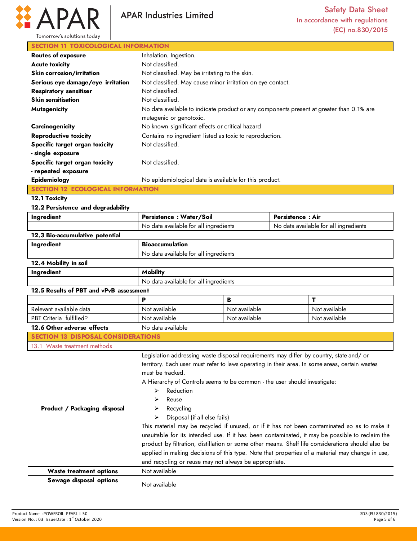

# **SECTION 11 TOXICOLOGICAL INFORMATION**

| <b>Routes of exposure</b>         | Inhalation. Ingestion.                                                                                              |
|-----------------------------------|---------------------------------------------------------------------------------------------------------------------|
| <b>Acute toxicity</b>             | Not classified.                                                                                                     |
| Skin corrosion/irritation         | Not classified. May be irritating to the skin.                                                                      |
| Serious eye damage/eye irritation | Not classified. May cause minor irritation on eye contact.                                                          |
| <b>Respiratory sensitiser</b>     | Not classified.                                                                                                     |
| <b>Skin sensitisation</b>         | Not classified.                                                                                                     |
| <b>Mutagenicity</b>               | No data available to indicate product or any components present at greater than 0.1% are<br>mutagenic or genotoxic. |
| Carcinogenicity                   | No known significant effects or critical hazard                                                                     |
| <b>Reproductive toxicity</b>      | Contains no ingredient listed as toxic to reproduction.                                                             |
| Specific target organ toxicity    | Not classified.                                                                                                     |
| - single exposure                 |                                                                                                                     |
| Specific target organ toxicity    | Not classified.                                                                                                     |
| - repeated exposure               |                                                                                                                     |
| Epidemiology                      | No epidemiological data is available for this product.                                                              |
|                                   |                                                                                                                     |

## **12.1 Toxicity**

#### **12.2 Persistence and degradability**

| Ingredient                                | Persistence: Water/Soil                                                                                                                                                                                                                                                                                                                                                                                                               |               | <b>Persistence: Air</b>               |                                                                                                                                                                                                                                                                                                                                                                                                         |
|-------------------------------------------|---------------------------------------------------------------------------------------------------------------------------------------------------------------------------------------------------------------------------------------------------------------------------------------------------------------------------------------------------------------------------------------------------------------------------------------|---------------|---------------------------------------|---------------------------------------------------------------------------------------------------------------------------------------------------------------------------------------------------------------------------------------------------------------------------------------------------------------------------------------------------------------------------------------------------------|
|                                           | No data available for all ingredients                                                                                                                                                                                                                                                                                                                                                                                                 |               | No data available for all ingredients |                                                                                                                                                                                                                                                                                                                                                                                                         |
| 12.3 Bio-accumulative potential           |                                                                                                                                                                                                                                                                                                                                                                                                                                       |               |                                       |                                                                                                                                                                                                                                                                                                                                                                                                         |
| Ingredient                                | <b>Bioaccumulation</b>                                                                                                                                                                                                                                                                                                                                                                                                                |               |                                       |                                                                                                                                                                                                                                                                                                                                                                                                         |
|                                           | No data available for all ingredients                                                                                                                                                                                                                                                                                                                                                                                                 |               |                                       |                                                                                                                                                                                                                                                                                                                                                                                                         |
| 12.4 Mobility in soil                     |                                                                                                                                                                                                                                                                                                                                                                                                                                       |               |                                       |                                                                                                                                                                                                                                                                                                                                                                                                         |
| Ingredient                                | <b>Mobility</b>                                                                                                                                                                                                                                                                                                                                                                                                                       |               |                                       |                                                                                                                                                                                                                                                                                                                                                                                                         |
|                                           | No data available for all ingredients                                                                                                                                                                                                                                                                                                                                                                                                 |               |                                       |                                                                                                                                                                                                                                                                                                                                                                                                         |
| 12.5 Results of PBT and vPvB assessment   |                                                                                                                                                                                                                                                                                                                                                                                                                                       |               |                                       |                                                                                                                                                                                                                                                                                                                                                                                                         |
|                                           | P                                                                                                                                                                                                                                                                                                                                                                                                                                     | B             |                                       | т                                                                                                                                                                                                                                                                                                                                                                                                       |
| Relevant available data                   | Not available                                                                                                                                                                                                                                                                                                                                                                                                                         | Not available |                                       | Not available                                                                                                                                                                                                                                                                                                                                                                                           |
| PBT Criteria fulfilled?                   | Not available                                                                                                                                                                                                                                                                                                                                                                                                                         | Not available |                                       | Not available                                                                                                                                                                                                                                                                                                                                                                                           |
| 12.6 Other adverse effects                | No data available                                                                                                                                                                                                                                                                                                                                                                                                                     |               |                                       |                                                                                                                                                                                                                                                                                                                                                                                                         |
| <b>SECTION 13 DISPOSAL CONSIDERATIONS</b> |                                                                                                                                                                                                                                                                                                                                                                                                                                       |               |                                       |                                                                                                                                                                                                                                                                                                                                                                                                         |
| 13.1 Waste treatment methods              |                                                                                                                                                                                                                                                                                                                                                                                                                                       |               |                                       |                                                                                                                                                                                                                                                                                                                                                                                                         |
| Product / Packaging disposal              | Legislation addressing waste disposal requirements may differ by country, state and/ or<br>territory. Each user must refer to laws operating in their area. In some areas, certain wastes<br>must be tracked.<br>A Hierarchy of Controls seems to be common - the user should investigate:<br>Reduction<br>⋗<br>Reuse<br>Recycling<br>➤<br>Disposal (if all else fails)<br>↘<br>and recycling or reuse may not always be appropriate. |               |                                       | This material may be recycled if unused, or if it has not been contaminated so as to make it<br>unsuitable for its intended use. If it has been contaminated, it may be possible to reclaim the<br>product by filtration, distillation or some other means. Shelf life considerations should also be<br>applied in making decisions of this type. Note that properties of a material may change in use, |
| <b>Waste treatment options</b>            | Not available                                                                                                                                                                                                                                                                                                                                                                                                                         |               |                                       |                                                                                                                                                                                                                                                                                                                                                                                                         |
| Sewage disposal options                   | Not available                                                                                                                                                                                                                                                                                                                                                                                                                         |               |                                       |                                                                                                                                                                                                                                                                                                                                                                                                         |